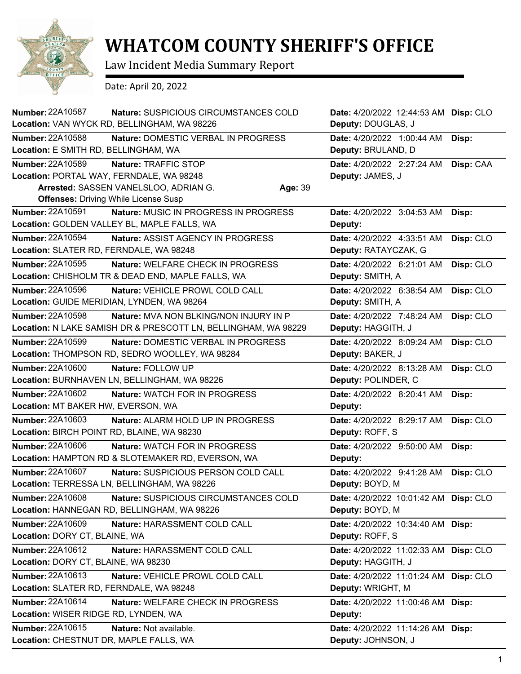

## **WHATCOM COUNTY SHERIFF'S OFFICE**

Law Incident Media Summary Report

Date: April 20, 2022

| Number: 22A10587                                                    | Nature: SUSPICIOUS CIRCUMSTANCES COLD<br>Location: VAN WYCK RD, BELLINGHAM, WA 98226                                    | Date: 4/20/2022 12:44:53 AM Disp: CLO<br>Deputy: DOUGLAS, J |           |
|---------------------------------------------------------------------|-------------------------------------------------------------------------------------------------------------------------|-------------------------------------------------------------|-----------|
| <b>Number: 22A10588</b><br>Location: E SMITH RD, BELLINGHAM, WA     | Nature: DOMESTIC VERBAL IN PROGRESS                                                                                     | Date: 4/20/2022 1:00:44 AM<br>Deputy: BRULAND, D            | Disp:     |
| <b>Number: 22A10589</b><br>Location: PORTAL WAY, FERNDALE, WA 98248 | Nature: TRAFFIC STOP<br>Arrested: SASSEN VANELSLOO, ADRIAN G.<br>Age: 39<br><b>Offenses: Driving While License Susp</b> | Date: 4/20/2022 2:27:24 AM<br>Deputy: JAMES, J              | Disp: CAA |
| <b>Number: 22A10591</b>                                             | Nature: MUSIC IN PROGRESS IN PROGRESS                                                                                   | Date: 4/20/2022 3:04:53 AM                                  | Disp:     |
|                                                                     | Location: GOLDEN VALLEY BL, MAPLE FALLS, WA                                                                             | Deputy:                                                     |           |
| Number: 22A10594<br>Location: SLATER RD, FERNDALE, WA 98248         | <b>Nature: ASSIST AGENCY IN PROGRESS</b>                                                                                | Date: 4/20/2022 4:33:51 AM<br>Deputy: RATAYCZAK, G          | Disp: CLO |
| Number: 22A10595                                                    | Nature: WELFARE CHECK IN PROGRESS<br>Location: CHISHOLM TR & DEAD END, MAPLE FALLS, WA                                  | Date: 4/20/2022 6:21:01 AM<br>Deputy: SMITH, A              | Disp: CLO |
| <b>Number: 22A10596</b>                                             | Nature: VEHICLE PROWL COLD CALL<br>Location: GUIDE MERIDIAN, LYNDEN, WA 98264                                           | Date: 4/20/2022 6:38:54 AM<br>Deputy: SMITH, A              | Disp: CLO |
| <b>Number: 22A10598</b>                                             | <b>Nature: MVA NON BLKING/NON INJURY IN P</b><br>Location: N LAKE SAMISH DR & PRESCOTT LN, BELLINGHAM, WA 98229         | Date: 4/20/2022 7:48:24 AM<br>Deputy: HAGGITH, J            | Disp: CLO |
| <b>Number: 22A10599</b>                                             | Nature: DOMESTIC VERBAL IN PROGRESS<br>Location: THOMPSON RD, SEDRO WOOLLEY, WA 98284                                   | Date: 4/20/2022 8:09:24 AM<br>Deputy: BAKER, J              | Disp: CLO |
| <b>Number: 22A10600</b>                                             | Nature: FOLLOW UP<br>Location: BURNHAVEN LN, BELLINGHAM, WA 98226                                                       | Date: 4/20/2022 8:13:28 AM<br>Deputy: POLINDER, C           | Disp: CLO |
| <b>Number: 22A10602</b>                                             | Nature: WATCH FOR IN PROGRESS                                                                                           | Date: 4/20/2022 8:20:41 AM                                  | Disp:     |
| Location: MT BAKER HW, EVERSON, WA                                  |                                                                                                                         | Deputy:                                                     |           |
| Number: 22A10603<br>Location: BIRCH POINT RD, BLAINE, WA 98230      | Nature: ALARM HOLD UP IN PROGRESS                                                                                       | Date: 4/20/2022 8:29:17 AM<br>Deputy: ROFF, S               | Disp: CLO |
| Number: 22A10606                                                    | Nature: WATCH FOR IN PROGRESS<br>Location: HAMPTON RD & SLOTEMAKER RD, EVERSON, WA                                      | Date: 4/20/2022 9:50:00 AM<br>Deputy:                       | Disp:     |
| <b>Number: 22A10607</b>                                             | Nature: SUSPICIOUS PERSON COLD CALL<br>Location: TERRESSA LN, BELLINGHAM, WA 98226                                      | Date: 4/20/2022 9:41:28 AM<br><b>Deputy: BOYD, M</b>        | Disp: CLO |
| <b>Number: 22A10608</b>                                             | Nature: SUSPICIOUS CIRCUMSTANCES COLD<br>Location: HANNEGAN RD, BELLINGHAM, WA 98226                                    | Date: 4/20/2022 10:01:42 AM Disp: CLO<br>Deputy: BOYD, M    |           |
| Number: 22A10609<br>Location: DORY CT, BLAINE, WA                   | Nature: HARASSMENT COLD CALL                                                                                            | Date: 4/20/2022 10:34:40 AM Disp:<br>Deputy: ROFF, S        |           |
| Number: 22A10612<br>Location: DORY CT, BLAINE, WA 98230             | Nature: HARASSMENT COLD CALL                                                                                            | Date: 4/20/2022 11:02:33 AM Disp: CLO<br>Deputy: HAGGITH, J |           |
| Number: 22A10613<br>Location: SLATER RD, FERNDALE, WA 98248         | Nature: VEHICLE PROWL COLD CALL                                                                                         | Date: 4/20/2022 11:01:24 AM Disp: CLO<br>Deputy: WRIGHT, M  |           |
| Number: 22A10614<br>Location: WISER RIDGE RD, LYNDEN, WA            | Nature: WELFARE CHECK IN PROGRESS                                                                                       | Date: 4/20/2022 11:00:46 AM Disp:<br>Deputy:                |           |
| Number: 22A10615<br>Location: CHESTNUT DR, MAPLE FALLS, WA          | Nature: Not available.                                                                                                  | Date: 4/20/2022 11:14:26 AM Disp:<br>Deputy: JOHNSON, J     |           |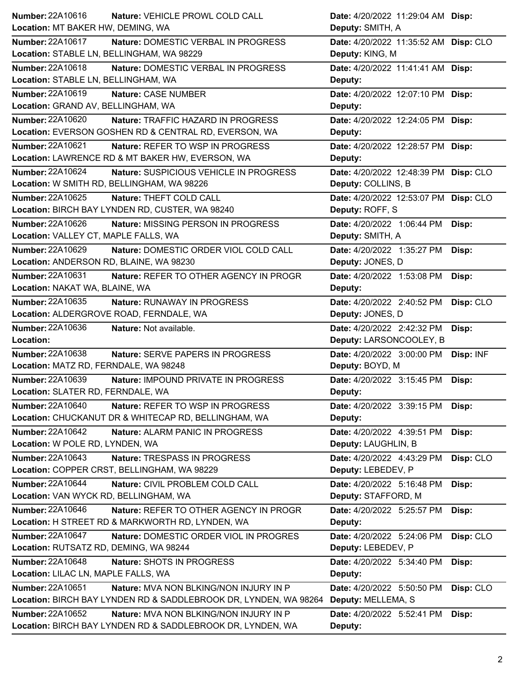| Number: 22A10616<br>Nature: VEHICLE PROWL COLD CALL                      | Date: 4/20/2022 11:29:04 AM Disp:       |
|--------------------------------------------------------------------------|-----------------------------------------|
| Location: MT BAKER HW, DEMING, WA                                        | Deputy: SMITH, A                        |
| <b>Number: 22A10617</b><br>Nature: DOMESTIC VERBAL IN PROGRESS           | Date: 4/20/2022 11:35:52 AM Disp: CLO   |
| Location: STABLE LN, BELLINGHAM, WA 98229                                | Deputy: KING, M                         |
| Number: 22A10618<br>Nature: DOMESTIC VERBAL IN PROGRESS                  | Date: 4/20/2022 11:41:41 AM Disp:       |
| Location: STABLE LN, BELLINGHAM, WA                                      | Deputy:                                 |
| Number: 22A10619<br>Nature: CASE NUMBER                                  | Date: 4/20/2022 12:07:10 PM Disp:       |
| Location: GRAND AV, BELLINGHAM, WA                                       | Deputy:                                 |
| Number: 22A10620<br>Nature: TRAFFIC HAZARD IN PROGRESS                   | Date: 4/20/2022 12:24:05 PM Disp:       |
| Location: EVERSON GOSHEN RD & CENTRAL RD, EVERSON, WA                    | Deputy:                                 |
| Number: 22A10621<br>Nature: REFER TO WSP IN PROGRESS                     | Date: 4/20/2022 12:28:57 PM Disp:       |
| Location: LAWRENCE RD & MT BAKER HW, EVERSON, WA                         | Deputy:                                 |
| <b>Number: 22A10624</b><br>Nature: SUSPICIOUS VEHICLE IN PROGRESS        | Date: 4/20/2022 12:48:39 PM Disp: CLO   |
| Location: W SMITH RD, BELLINGHAM, WA 98226                               | Deputy: COLLINS, B                      |
| Number: 22A10625<br>Nature: THEFT COLD CALL                              | Date: 4/20/2022 12:53:07 PM Disp: CLO   |
| Location: BIRCH BAY LYNDEN RD, CUSTER, WA 98240                          | Deputy: ROFF, S                         |
| Number: 22A10626<br><b>Nature: MISSING PERSON IN PROGRESS</b>            | Date: 4/20/2022 1:06:44 PM<br>Disp:     |
| Location: VALLEY CT, MAPLE FALLS, WA                                     | Deputy: SMITH, A                        |
| <b>Number: 22A10629</b><br>Nature: DOMESTIC ORDER VIOL COLD CALL         | Date: 4/20/2022 1:35:27 PM<br>Disp:     |
| Location: ANDERSON RD, BLAINE, WA 98230                                  | Deputy: JONES, D                        |
| <b>Number: 22A10631</b><br>Nature: REFER TO OTHER AGENCY IN PROGR        | Date: 4/20/2022 1:53:08 PM<br>Disp:     |
| Location: NAKAT WA, BLAINE, WA                                           | Deputy:                                 |
| Number: 22A10635<br><b>Nature: RUNAWAY IN PROGRESS</b>                   | Disp: CLO<br>Date: 4/20/2022 2:40:52 PM |
| Location: ALDERGROVE ROAD, FERNDALE, WA                                  | Deputy: JONES, D                        |
| <b>Number: 22A10636</b><br>Nature: Not available.                        | Date: 4/20/2022 2:42:32 PM<br>Disp:     |
| Location:                                                                | Deputy: LARSONCOOLEY, B                 |
|                                                                          |                                         |
| <b>Number: 22A10638</b><br>Nature: SERVE PAPERS IN PROGRESS              | Date: 4/20/2022 3:00:00 PM<br>Disp: INF |
| Location: MATZ RD, FERNDALE, WA 98248                                    | Deputy: BOYD, M                         |
| Number: 22A10639<br>Nature: IMPOUND PRIVATE IN PROGRESS                  | Date: 4/20/2022 3:15:45 PM<br>Disp:     |
| Location: SLATER RD, FERNDALE, WA                                        | <b>Deputy:</b>                          |
| <b>Number: 22A10640</b><br>Nature: REFER TO WSP IN PROGRESS              | Date: 4/20/2022 3:39:15 PM<br>Disp:     |
| Location: CHUCKANUT DR & WHITECAP RD, BELLINGHAM, WA                     | Deputy:                                 |
| <b>Number: 22A10642</b><br>Nature: ALARM PANIC IN PROGRESS               | Date: 4/20/2022 4:39:51 PM<br>Disp:     |
| Location: W POLE RD, LYNDEN, WA                                          | Deputy: LAUGHLIN, B                     |
| Number: 22A10643<br>Nature: TRESPASS IN PROGRESS                         | Date: 4/20/2022 4:43:29 PM<br>Disp: CLO |
| Location: COPPER CRST, BELLINGHAM, WA 98229                              | Deputy: LEBEDEV, P                      |
| <b>Number: 22A10644</b><br>Nature: CIVIL PROBLEM COLD CALL               | Date: 4/20/2022 5:16:48 PM<br>Disp:     |
| Location: VAN WYCK RD, BELLINGHAM, WA                                    | Deputy: STAFFORD, M                     |
| Number: 22A10646<br>Nature: REFER TO OTHER AGENCY IN PROGR               | Date: 4/20/2022 5:25:57 PM<br>Disp:     |
| Location: H STREET RD & MARKWORTH RD, LYNDEN, WA                         | Deputy:                                 |
| <b>Number: 22A10647</b><br>Nature: DOMESTIC ORDER VIOL IN PROGRES        | Disp: CLO<br>Date: 4/20/2022 5:24:06 PM |
| Location: RUTSATZ RD, DEMING, WA 98244                                   | Deputy: LEBEDEV, P                      |
| <b>Number: 22A10648</b><br>Nature: SHOTS IN PROGRESS                     | Date: 4/20/2022 5:34:40 PM<br>Disp:     |
| Location: LILAC LN, MAPLE FALLS, WA                                      | Deputy:                                 |
| <b>Number: 22A10651</b><br><b>Nature: MVA NON BLKING/NON INJURY IN P</b> | Date: 4/20/2022 5:50:50 PM              |
| Location: BIRCH BAY LYNDEN RD & SADDLEBROOK DR, LYNDEN, WA 98264         | Disp: CLO<br>Deputy: MELLEMA, S         |
| <b>Number: 22A10652</b><br>Nature: MVA NON BLKING/NON INJURY IN P        | Date: 4/20/2022 5:52:41 PM<br>Disp:     |